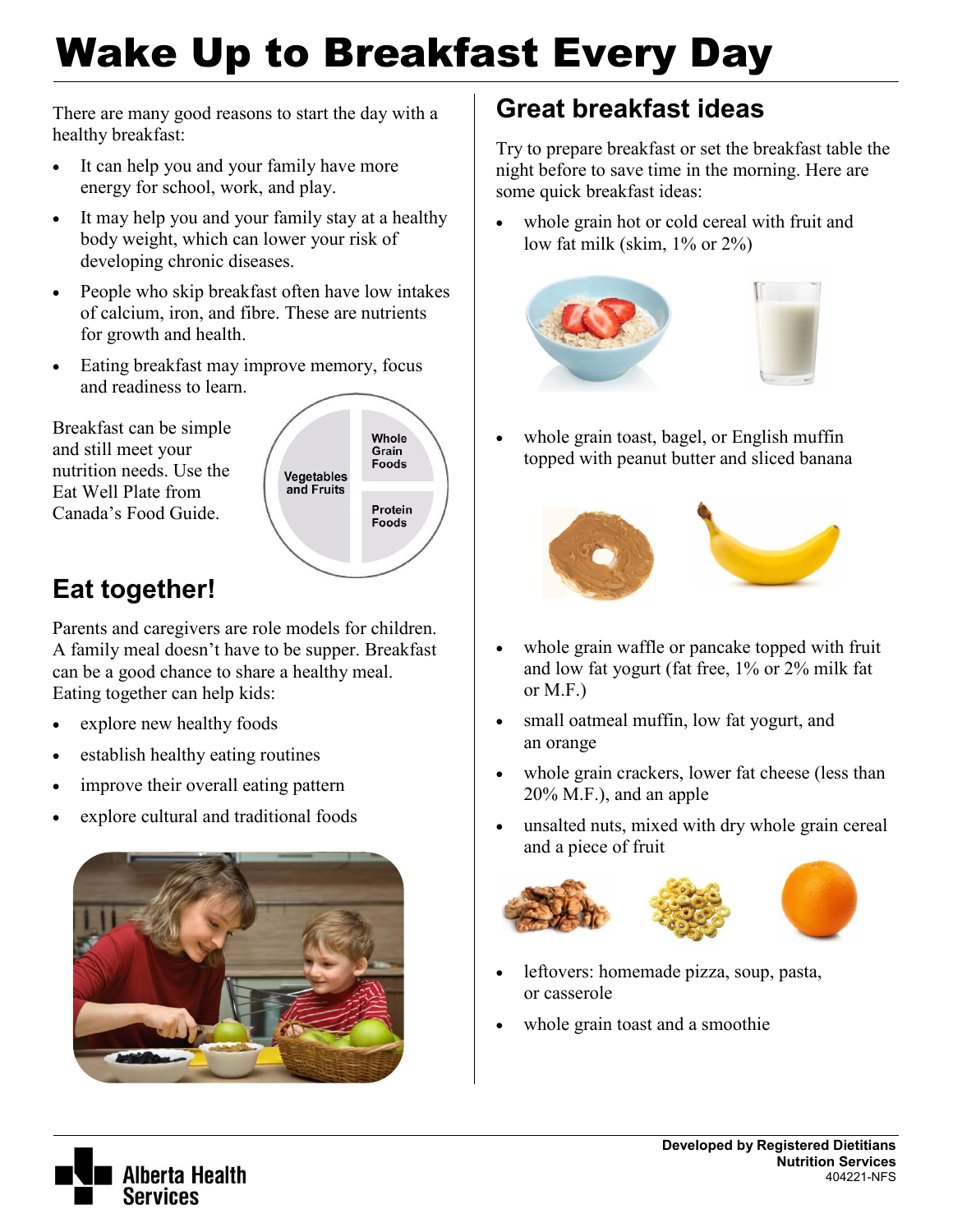# Wake Up to Breakfast Every Day

There are many good reasons to start the day with a healthy breakfast:

- It can help you and your family have more energy for school, work, and play.
- It may help you and your family stay at a healthy body weight, which can lower your risk of developing chronic diseases.
- People who skip breakfast often have low intakes of calcium, iron, and fibre. These are nutrients for growth and health.
- Eating breakfast may improve memory, focus and readiness to learn.

Breakfast can be simple and still meet your nutrition needs. Use the Eat Well Plate from Canada's Food Guide.



## **Eat together!**

Parents and caregivers are role models for children. A family meal doesn't have to be supper. Breakfast can be a good chance to share a healthy meal. Eating together can help kids:

- explore new healthy foods
- establish healthy eating routines
- improve their overall eating pattern
- explore cultural and traditional foods



## **Great breakfast ideas**

Try to prepare breakfast or set the breakfast table the night before to save time in the morning. Here are some quick breakfast ideas:

 whole grain hot or cold cereal with fruit and low fat milk (skim, 1% or 2%)



 whole grain toast, bagel, or English muffin topped with peanut butter and sliced banana



- whole grain waffle or pancake topped with fruit and low fat yogurt (fat free, 1% or 2% milk fat or M.F.)
- small oatmeal muffin, low fat yogurt, and an orange
- whole grain crackers, lower fat cheese (less than 20% M.F.), and an apple
- unsalted nuts, mixed with dry whole grain cereal and a piece of fruit



- leftovers: homemade pizza, soup, pasta, or casserole
- whole grain toast and a smoothie